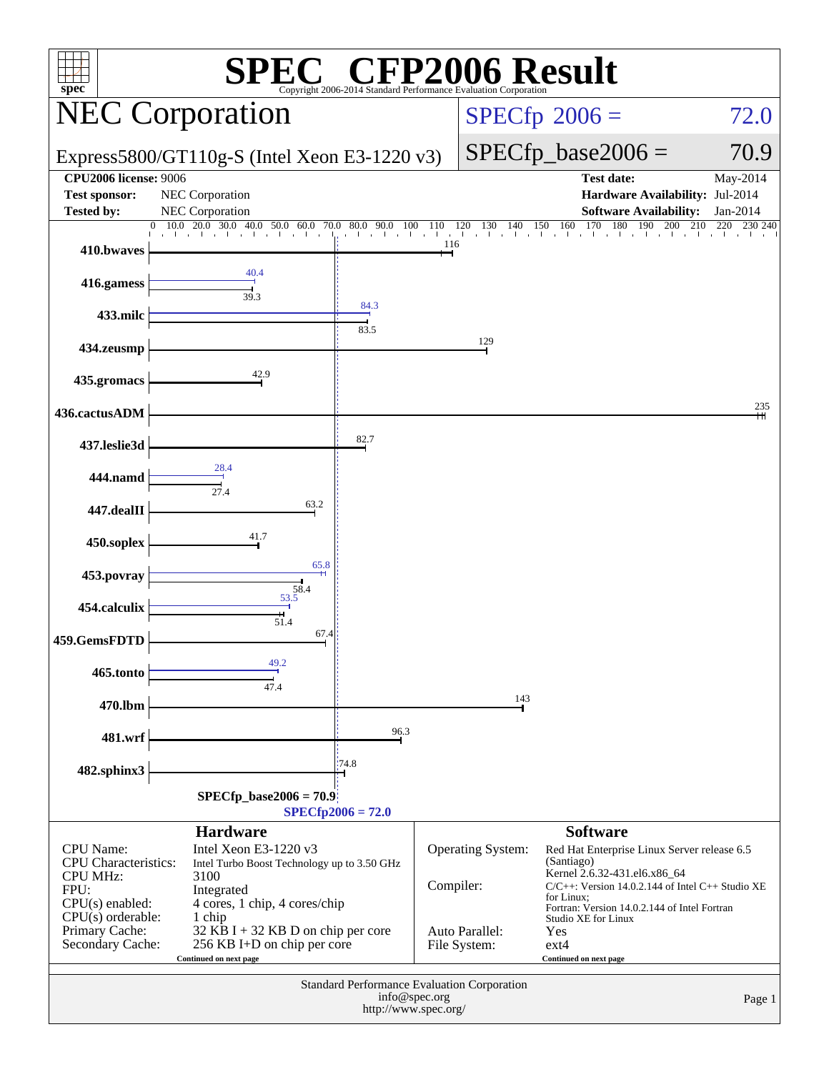| <b>CFP2006 Result</b><br>$spec^*$<br>Copyright 2006-2014 Standard Performance Evaluation Corporation                                                         |                                                                                                                                                                                                                                                         |               |            |                                                            |                                                                                                                                                                                                                                                                                                         |                                                        |  |
|--------------------------------------------------------------------------------------------------------------------------------------------------------------|---------------------------------------------------------------------------------------------------------------------------------------------------------------------------------------------------------------------------------------------------------|---------------|------------|------------------------------------------------------------|---------------------------------------------------------------------------------------------------------------------------------------------------------------------------------------------------------------------------------------------------------------------------------------------------------|--------------------------------------------------------|--|
|                                                                                                                                                              | <b>NEC Corporation</b>                                                                                                                                                                                                                                  |               |            |                                                            | $SPECfp^{\circledast}2006 =$                                                                                                                                                                                                                                                                            | 72.0                                                   |  |
|                                                                                                                                                              | Express5800/GT110g-S (Intel Xeon E3-1220 v3)                                                                                                                                                                                                            |               |            |                                                            | $SPECfp\_base2006 =$                                                                                                                                                                                                                                                                                    | 70.9                                                   |  |
| <b>CPU2006</b> license: 9006<br><b>Test sponsor:</b><br><b>Tested by:</b>                                                                                    | NEC Corporation<br><b>NEC</b> Corporation                                                                                                                                                                                                               |               |            |                                                            | <b>Test date:</b><br>Hardware Availability: Jul-2014<br><b>Software Availability:</b>                                                                                                                                                                                                                   | May-2014<br>Jan-2014                                   |  |
| 410.bwaves                                                                                                                                                   | $10.0$ $20.0$ $30.0$<br>40.0 50.0 60.0 70.0<br>$\sim 10^{-1}$<br>al control                                                                                                                                                                             | 80.0 90.0 100 | 110<br>116 | 120<br>130<br>140<br>the contract that                     | 170<br>180<br>150<br>160<br>190<br>200<br>the transformation that the                                                                                                                                                                                                                                   | 210<br>220<br>230 240<br>$\mathbf{1}$ and $\mathbf{1}$ |  |
| 416.gamess                                                                                                                                                   | 40.4<br>39.3                                                                                                                                                                                                                                            |               |            |                                                            |                                                                                                                                                                                                                                                                                                         |                                                        |  |
| 433.milc                                                                                                                                                     |                                                                                                                                                                                                                                                         | 84.3<br>83.5  |            |                                                            |                                                                                                                                                                                                                                                                                                         |                                                        |  |
| 434.zeusmp                                                                                                                                                   | 42.9                                                                                                                                                                                                                                                    |               |            | 129                                                        |                                                                                                                                                                                                                                                                                                         |                                                        |  |
| 435.gromacs                                                                                                                                                  |                                                                                                                                                                                                                                                         |               |            |                                                            |                                                                                                                                                                                                                                                                                                         | 235                                                    |  |
| 436.cactusADM<br>437.leslie3d                                                                                                                                |                                                                                                                                                                                                                                                         | 82.7          |            |                                                            |                                                                                                                                                                                                                                                                                                         |                                                        |  |
| 444.namd                                                                                                                                                     | 28.4                                                                                                                                                                                                                                                    |               |            |                                                            |                                                                                                                                                                                                                                                                                                         |                                                        |  |
| 447.dealII                                                                                                                                                   | $\frac{1}{27.4}$<br>63.2                                                                                                                                                                                                                                |               |            |                                                            |                                                                                                                                                                                                                                                                                                         |                                                        |  |
| 450.soplex                                                                                                                                                   | 41.7                                                                                                                                                                                                                                                    |               |            |                                                            |                                                                                                                                                                                                                                                                                                         |                                                        |  |
| 453.povray                                                                                                                                                   | 65.8<br>$\frac{1}{58.4}$                                                                                                                                                                                                                                |               |            |                                                            |                                                                                                                                                                                                                                                                                                         |                                                        |  |
| 454.calculix                                                                                                                                                 | 51.4<br>67.4                                                                                                                                                                                                                                            |               |            |                                                            |                                                                                                                                                                                                                                                                                                         |                                                        |  |
| 459.GemsFDTD<br>465.tonto                                                                                                                                    | 49.2                                                                                                                                                                                                                                                    |               |            |                                                            |                                                                                                                                                                                                                                                                                                         |                                                        |  |
| 470.lbm                                                                                                                                                      | 47.4                                                                                                                                                                                                                                                    |               |            | 143                                                        |                                                                                                                                                                                                                                                                                                         |                                                        |  |
| 481.wrf                                                                                                                                                      |                                                                                                                                                                                                                                                         | 96.3          |            |                                                            |                                                                                                                                                                                                                                                                                                         |                                                        |  |
| 482.sphinx3                                                                                                                                                  |                                                                                                                                                                                                                                                         | 74.8          |            |                                                            |                                                                                                                                                                                                                                                                                                         |                                                        |  |
|                                                                                                                                                              | $SPECfp\_base2006 = 70.9$<br>$SPECfp2006 = 72.0$                                                                                                                                                                                                        |               |            |                                                            |                                                                                                                                                                                                                                                                                                         |                                                        |  |
| <b>CPU</b> Name:<br><b>CPU</b> Characteristics:<br><b>CPU MHz:</b><br>FPU:<br>$CPU(s)$ enabled:<br>$CPU(s)$ orderable:<br>Primary Cache:<br>Secondary Cache: | <b>Hardware</b><br>Intel Xeon E3-1220 v3<br>Intel Turbo Boost Technology up to 3.50 GHz<br>3100<br>Integrated<br>4 cores, 1 chip, 4 cores/chip<br>1 chip<br>32 KB I + 32 KB D on chip per core<br>256 KB I+D on chip per core<br>Continued on next page |               | Compiler:  | <b>Operating System:</b><br>Auto Parallel:<br>File System: | <b>Software</b><br>Red Hat Enterprise Linux Server release 6.5<br>(Santiago)<br>Kernel 2.6.32-431.el6.x86_64<br>$C/C++$ : Version 14.0.2.144 of Intel $C++$ Studio XE<br>for Linux:<br>Fortran: Version 14.0.2.144 of Intel Fortran<br>Studio XE for Linux<br>Yes<br>$ext{4}$<br>Continued on next page |                                                        |  |
|                                                                                                                                                              | <b>Standard Performance Evaluation Corporation</b><br>info@spec.org<br>Page 1<br>http://www.spec.org/                                                                                                                                                   |               |            |                                                            |                                                                                                                                                                                                                                                                                                         |                                                        |  |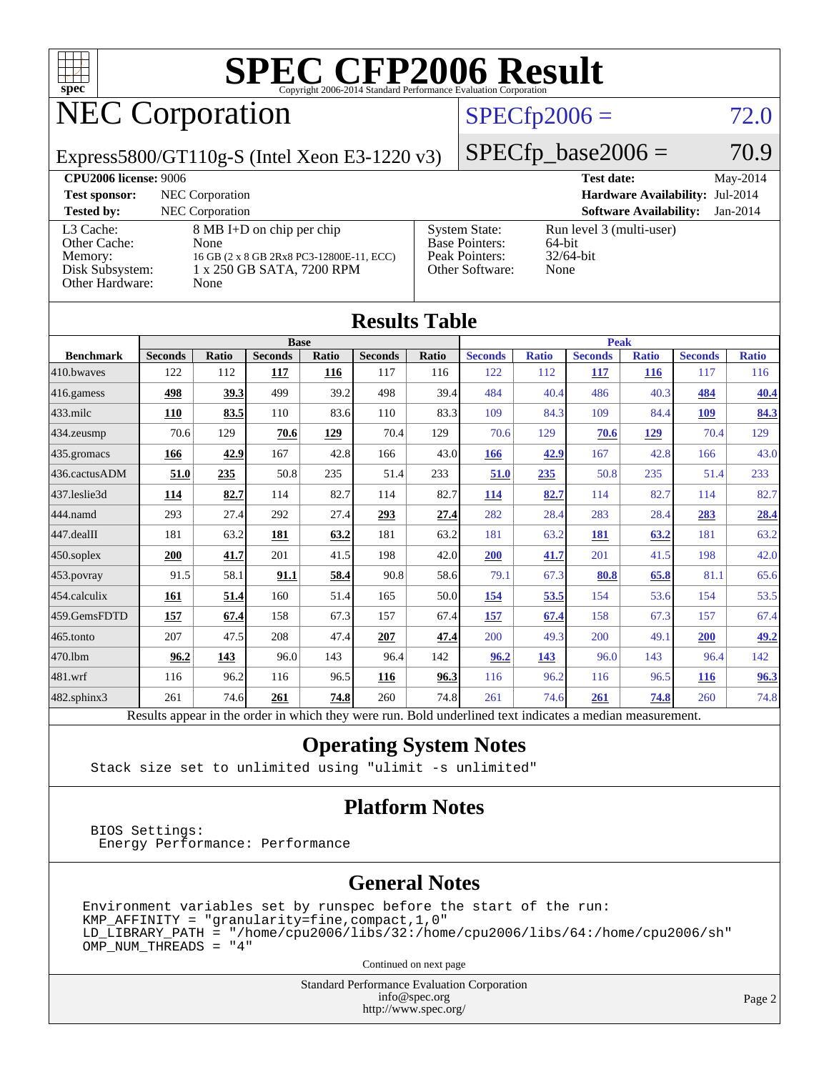

# NEC Corporation

### $SPECfp2006 = 72.0$  $SPECfp2006 = 72.0$

Express5800/GT110g-S (Intel Xeon E3-1220 v3)

 $SPECTp\_base2006 = 70.9$ **[CPU2006 license:](http://www.spec.org/auto/cpu2006/Docs/result-fields.html#CPU2006license)** 9006 **[Test date:](http://www.spec.org/auto/cpu2006/Docs/result-fields.html#Testdate)** May-2014

| <b>CI USOU RULLED FOUU</b>                                                 |                                                                                                                    |                                                                                    | T COL MALLE<br>$11141 \times 1011$                         |
|----------------------------------------------------------------------------|--------------------------------------------------------------------------------------------------------------------|------------------------------------------------------------------------------------|------------------------------------------------------------|
| <b>Test sponsor:</b>                                                       | NEC Corporation                                                                                                    |                                                                                    | <b>Hardware Availability: Jul-2014</b>                     |
| <b>Tested by:</b>                                                          | NEC Corporation                                                                                                    |                                                                                    | <b>Software Availability:</b><br>$Jan-2014$                |
| L3 Cache:<br>Other Cache:<br>Memory:<br>Disk Subsystem:<br>Other Hardware: | 8 MB I+D on chip per chip<br>None<br>16 GB (2 x 8 GB 2Rx8 PC3-12800E-11, ECC)<br>1 x 250 GB SATA, 7200 RPM<br>None | <b>System State:</b><br><b>Base Pointers:</b><br>Peak Pointers:<br>Other Software: | Run level 3 (multi-user)<br>64-bit<br>$32/64$ -bit<br>None |

**[Results Table](http://www.spec.org/auto/cpu2006/Docs/result-fields.html#ResultsTable)**

| Results Table    |                |       |                |       |                |             |                                                                                                          |              |                |              |                |              |
|------------------|----------------|-------|----------------|-------|----------------|-------------|----------------------------------------------------------------------------------------------------------|--------------|----------------|--------------|----------------|--------------|
|                  | <b>Base</b>    |       |                |       |                | <b>Peak</b> |                                                                                                          |              |                |              |                |              |
| <b>Benchmark</b> | <b>Seconds</b> | Ratio | <b>Seconds</b> | Ratio | <b>Seconds</b> | Ratio       | <b>Seconds</b>                                                                                           | <b>Ratio</b> | <b>Seconds</b> | <b>Ratio</b> | <b>Seconds</b> | <b>Ratio</b> |
| 410.bwayes       | 122            | 112   | 117            | 116   | 117            | 116         | 122                                                                                                      | 112          | 117            | 116          | 117            | 116          |
| 416.gamess       | 498            | 39.3  | 499            | 39.2  | 498            | 39.4        | 484                                                                                                      | 40.4         | 486            | 40.3         | 484            | 40.4         |
| 433.milc         | 110            | 83.5  | 110            | 83.6  | 110            | 83.3        | 109                                                                                                      | 84.3         | 109            | 84.4         | 109            | 84.3         |
| 434.zeusmp       | 70.6           | 129   | 70.6           | 129   | 70.4           | 129         | 70.6                                                                                                     | 129          | 70.6           | 129          | 70.4           | 129          |
| 435.gromacs      | 166            | 42.9  | 167            | 42.8  | 166            | 43.0        | 166                                                                                                      | 42.9         | 167            | 42.8         | 166            | 43.0         |
| 436.cactusADM    | 51.0           | 235   | 50.8           | 235   | 51.4           | 233         | 51.0                                                                                                     | 235          | 50.8           | 235          | 51.4           | 233          |
| 437.leslie3d     | 114            | 82.7  | 114            | 82.7  | 114            | 82.7        | 114                                                                                                      | 82.7         | 114            | 82.7         | 114            | 82.7         |
| 444.namd         | 293            | 27.4  | 292            | 27.4  | 293            | 27.4        | 282                                                                                                      | 28.4         | 283            | 28.4         | 283            | 28.4         |
| 447.dealII       | 181            | 63.2  | 181            | 63.2  | 181            | 63.2        | 181                                                                                                      | 63.2         | 181            | 63.2         | 181            | 63.2         |
| 450.soplex       | 200            | 41.7  | 201            | 41.5  | 198            | 42.0        | 200                                                                                                      | 41.7         | 201            | 41.5         | 198            | 42.0         |
| 453.povray       | 91.5           | 58.1  | 91.1           | 58.4  | 90.8           | 58.6        | 79.1                                                                                                     | 67.3         | 80.8           | 65.8         | 81.1           | 65.6         |
| 454.calculix     | 161            | 51.4  | 160            | 51.4  | 165            | 50.0        | <u>154</u>                                                                                               | 53.5         | 154            | 53.6         | 154            | 53.5         |
| 459.GemsFDTD     | 157            | 67.4  | 158            | 67.3  | 157            | 67.4        | 157                                                                                                      | 67.4         | 158            | 67.3         | 157            | 67.4         |
| 465.tonto        | 207            | 47.5  | 208            | 47.4  | 207            | 47.4        | 200                                                                                                      | 49.3         | 200            | 49.1         | 200            | 49.2         |
| 470.1bm          | 96.2           | 143   | 96.0           | 143   | 96.4           | 142         | 96.2                                                                                                     | 143          | 96.0           | 143          | 96.4           | 142          |
| 481.wrf          | 116            | 96.2  | 116            | 96.5  | 116            | 96.3        | 116                                                                                                      | 96.2         | 116            | 96.5         | <b>116</b>     | 96.3         |
| 482.sphinx3      | 261            | 74.6  | 261            | 74.8  | 260            | 74.8        | 261                                                                                                      | 74.6         | 261            | 74.8         | 260            | 74.8         |
|                  |                |       |                |       |                |             | Results appear in the order in which they were run. Bold underlined text indicates a median measurement. |              |                |              |                |              |

#### **[Operating System Notes](http://www.spec.org/auto/cpu2006/Docs/result-fields.html#OperatingSystemNotes)**

Stack size set to unlimited using "ulimit -s unlimited"

#### **[Platform Notes](http://www.spec.org/auto/cpu2006/Docs/result-fields.html#PlatformNotes)**

 BIOS Settings: Energy Performance: Performance

#### **[General Notes](http://www.spec.org/auto/cpu2006/Docs/result-fields.html#GeneralNotes)**

Environment variables set by runspec before the start of the run:  $KMP_A$ FFINITY = "granularity=fine, compact, 1, 0"  $LD$ \_LIBRARY\_PATH = "/home/cpu2006/libs/32:/home/cpu2006/libs/64:/home/cpu2006/sh" OMP\_NUM\_THREADS = "4"

Continued on next page

Standard Performance Evaluation Corporation [info@spec.org](mailto:info@spec.org) <http://www.spec.org/>

Page 2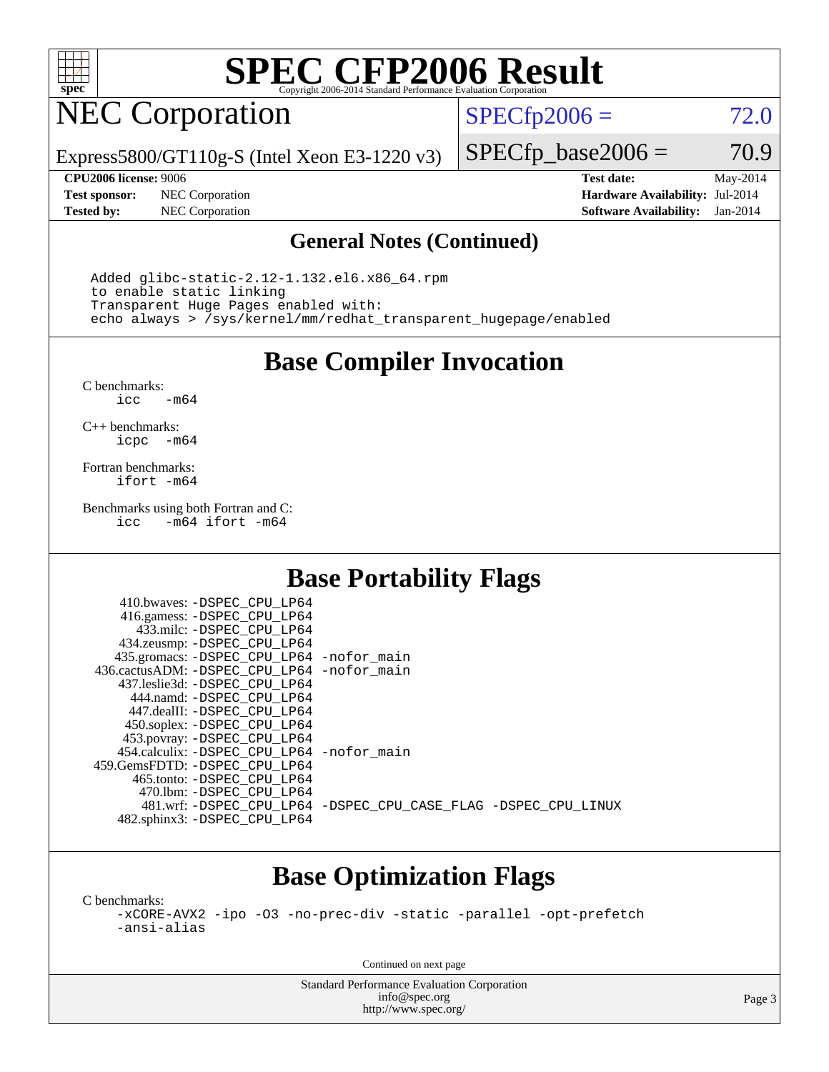

# NEC Corporation

 $SPECTp2006 = 72.0$ 

Express5800/GT110g-S (Intel Xeon E3-1220 v3)

**[Test sponsor:](http://www.spec.org/auto/cpu2006/Docs/result-fields.html#Testsponsor)** NEC Corporation **[Hardware Availability:](http://www.spec.org/auto/cpu2006/Docs/result-fields.html#HardwareAvailability)** Jul-2014

 $SPECTp\_base2006 = 70.9$ 

**[CPU2006 license:](http://www.spec.org/auto/cpu2006/Docs/result-fields.html#CPU2006license)** 9006 **[Test date:](http://www.spec.org/auto/cpu2006/Docs/result-fields.html#Testdate)** May-2014 **[Tested by:](http://www.spec.org/auto/cpu2006/Docs/result-fields.html#Testedby)** NEC Corporation **[Software Availability:](http://www.spec.org/auto/cpu2006/Docs/result-fields.html#SoftwareAvailability)** Jan-2014

#### **[General Notes \(Continued\)](http://www.spec.org/auto/cpu2006/Docs/result-fields.html#GeneralNotes)**

 Added glibc-static-2.12-1.132.el6.x86\_64.rpm to enable static linking Transparent Huge Pages enabled with: echo always > /sys/kernel/mm/redhat\_transparent\_hugepage/enabled

**[Base Compiler Invocation](http://www.spec.org/auto/cpu2006/Docs/result-fields.html#BaseCompilerInvocation)**

[C benchmarks](http://www.spec.org/auto/cpu2006/Docs/result-fields.html#Cbenchmarks):  $-m64$ 

[C++ benchmarks:](http://www.spec.org/auto/cpu2006/Docs/result-fields.html#CXXbenchmarks) [icpc -m64](http://www.spec.org/cpu2006/results/res2014q3/cpu2006-20140806-30780.flags.html#user_CXXbase_intel_icpc_64bit_bedb90c1146cab66620883ef4f41a67e)

[Fortran benchmarks](http://www.spec.org/auto/cpu2006/Docs/result-fields.html#Fortranbenchmarks): [ifort -m64](http://www.spec.org/cpu2006/results/res2014q3/cpu2006-20140806-30780.flags.html#user_FCbase_intel_ifort_64bit_ee9d0fb25645d0210d97eb0527dcc06e)

[Benchmarks using both Fortran and C](http://www.spec.org/auto/cpu2006/Docs/result-fields.html#BenchmarksusingbothFortranandC): [icc -m64](http://www.spec.org/cpu2006/results/res2014q3/cpu2006-20140806-30780.flags.html#user_CC_FCbase_intel_icc_64bit_0b7121f5ab7cfabee23d88897260401c) [ifort -m64](http://www.spec.org/cpu2006/results/res2014q3/cpu2006-20140806-30780.flags.html#user_CC_FCbase_intel_ifort_64bit_ee9d0fb25645d0210d97eb0527dcc06e)

### **[Base Portability Flags](http://www.spec.org/auto/cpu2006/Docs/result-fields.html#BasePortabilityFlags)**

| 410.bwaves: -DSPEC CPU LP64                  |                                                                |
|----------------------------------------------|----------------------------------------------------------------|
| 416.gamess: -DSPEC_CPU_LP64                  |                                                                |
| 433.milc: -DSPEC CPU LP64                    |                                                                |
| 434.zeusmp: -DSPEC_CPU_LP64                  |                                                                |
| 435.gromacs: -DSPEC_CPU_LP64 -nofor_main     |                                                                |
| 436.cactusADM: - DSPEC CPU LP64 - nofor main |                                                                |
| 437.leslie3d: -DSPEC CPU LP64                |                                                                |
| 444.namd: -DSPEC CPU LP64                    |                                                                |
| 447.dealII: -DSPEC CPU LP64                  |                                                                |
| 450.soplex: -DSPEC_CPU_LP64                  |                                                                |
| 453.povray: -DSPEC CPU LP64                  |                                                                |
| 454.calculix: - DSPEC CPU LP64 - nofor main  |                                                                |
| 459.GemsFDTD: - DSPEC_CPU LP64               |                                                                |
| 465.tonto: - DSPEC CPU LP64                  |                                                                |
| 470.1bm: - DSPEC CPU LP64                    |                                                                |
|                                              | 481.wrf: -DSPEC_CPU_LP64 -DSPEC_CPU_CASE_FLAG -DSPEC_CPU_LINUX |
| 482.sphinx3: -DSPEC_CPU_LP64                 |                                                                |

## **[Base Optimization Flags](http://www.spec.org/auto/cpu2006/Docs/result-fields.html#BaseOptimizationFlags)**

[C benchmarks](http://www.spec.org/auto/cpu2006/Docs/result-fields.html#Cbenchmarks):

[-xCORE-AVX2](http://www.spec.org/cpu2006/results/res2014q3/cpu2006-20140806-30780.flags.html#user_CCbase_f-xAVX2_5f5fc0cbe2c9f62c816d3e45806c70d7) [-ipo](http://www.spec.org/cpu2006/results/res2014q3/cpu2006-20140806-30780.flags.html#user_CCbase_f-ipo) [-O3](http://www.spec.org/cpu2006/results/res2014q3/cpu2006-20140806-30780.flags.html#user_CCbase_f-O3) [-no-prec-div](http://www.spec.org/cpu2006/results/res2014q3/cpu2006-20140806-30780.flags.html#user_CCbase_f-no-prec-div) [-static](http://www.spec.org/cpu2006/results/res2014q3/cpu2006-20140806-30780.flags.html#user_CCbase_f-static) [-parallel](http://www.spec.org/cpu2006/results/res2014q3/cpu2006-20140806-30780.flags.html#user_CCbase_f-parallel) [-opt-prefetch](http://www.spec.org/cpu2006/results/res2014q3/cpu2006-20140806-30780.flags.html#user_CCbase_f-opt-prefetch) [-ansi-alias](http://www.spec.org/cpu2006/results/res2014q3/cpu2006-20140806-30780.flags.html#user_CCbase_f-ansi-alias)

Continued on next page

Standard Performance Evaluation Corporation [info@spec.org](mailto:info@spec.org) <http://www.spec.org/>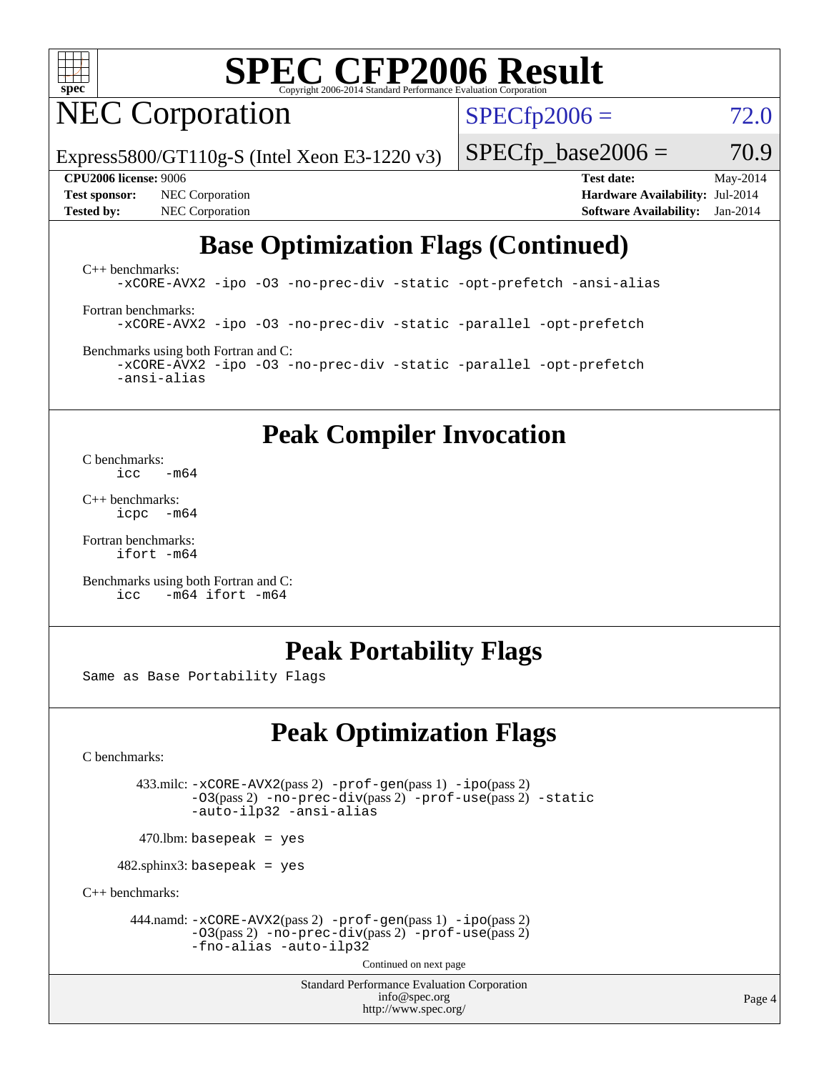

# NEC Corporation

 $SPECfp2006 = 72.0$  $SPECfp2006 = 72.0$ 

Express5800/GT110g-S (Intel Xeon E3-1220 v3)

**[Test sponsor:](http://www.spec.org/auto/cpu2006/Docs/result-fields.html#Testsponsor)** NEC Corporation **[Hardware Availability:](http://www.spec.org/auto/cpu2006/Docs/result-fields.html#HardwareAvailability)** Jul-2014 **[Tested by:](http://www.spec.org/auto/cpu2006/Docs/result-fields.html#Testedby)** NEC Corporation **[Software Availability:](http://www.spec.org/auto/cpu2006/Docs/result-fields.html#SoftwareAvailability)** Jan-2014

**[CPU2006 license:](http://www.spec.org/auto/cpu2006/Docs/result-fields.html#CPU2006license)** 9006 **[Test date:](http://www.spec.org/auto/cpu2006/Docs/result-fields.html#Testdate)** May-2014

 $SPECTp\_base2006 = 70.9$ 

## **[Base Optimization Flags \(Continued\)](http://www.spec.org/auto/cpu2006/Docs/result-fields.html#BaseOptimizationFlags)**

[C++ benchmarks:](http://www.spec.org/auto/cpu2006/Docs/result-fields.html#CXXbenchmarks) [-xCORE-AVX2](http://www.spec.org/cpu2006/results/res2014q3/cpu2006-20140806-30780.flags.html#user_CXXbase_f-xAVX2_5f5fc0cbe2c9f62c816d3e45806c70d7) [-ipo](http://www.spec.org/cpu2006/results/res2014q3/cpu2006-20140806-30780.flags.html#user_CXXbase_f-ipo) [-O3](http://www.spec.org/cpu2006/results/res2014q3/cpu2006-20140806-30780.flags.html#user_CXXbase_f-O3) [-no-prec-div](http://www.spec.org/cpu2006/results/res2014q3/cpu2006-20140806-30780.flags.html#user_CXXbase_f-no-prec-div) [-static](http://www.spec.org/cpu2006/results/res2014q3/cpu2006-20140806-30780.flags.html#user_CXXbase_f-static) [-opt-prefetch](http://www.spec.org/cpu2006/results/res2014q3/cpu2006-20140806-30780.flags.html#user_CXXbase_f-opt-prefetch) [-ansi-alias](http://www.spec.org/cpu2006/results/res2014q3/cpu2006-20140806-30780.flags.html#user_CXXbase_f-ansi-alias)

[Fortran benchmarks](http://www.spec.org/auto/cpu2006/Docs/result-fields.html#Fortranbenchmarks): [-xCORE-AVX2](http://www.spec.org/cpu2006/results/res2014q3/cpu2006-20140806-30780.flags.html#user_FCbase_f-xAVX2_5f5fc0cbe2c9f62c816d3e45806c70d7) [-ipo](http://www.spec.org/cpu2006/results/res2014q3/cpu2006-20140806-30780.flags.html#user_FCbase_f-ipo) [-O3](http://www.spec.org/cpu2006/results/res2014q3/cpu2006-20140806-30780.flags.html#user_FCbase_f-O3) [-no-prec-div](http://www.spec.org/cpu2006/results/res2014q3/cpu2006-20140806-30780.flags.html#user_FCbase_f-no-prec-div) [-static](http://www.spec.org/cpu2006/results/res2014q3/cpu2006-20140806-30780.flags.html#user_FCbase_f-static) [-parallel](http://www.spec.org/cpu2006/results/res2014q3/cpu2006-20140806-30780.flags.html#user_FCbase_f-parallel) [-opt-prefetch](http://www.spec.org/cpu2006/results/res2014q3/cpu2006-20140806-30780.flags.html#user_FCbase_f-opt-prefetch)

[Benchmarks using both Fortran and C](http://www.spec.org/auto/cpu2006/Docs/result-fields.html#BenchmarksusingbothFortranandC): [-xCORE-AVX2](http://www.spec.org/cpu2006/results/res2014q3/cpu2006-20140806-30780.flags.html#user_CC_FCbase_f-xAVX2_5f5fc0cbe2c9f62c816d3e45806c70d7) [-ipo](http://www.spec.org/cpu2006/results/res2014q3/cpu2006-20140806-30780.flags.html#user_CC_FCbase_f-ipo) [-O3](http://www.spec.org/cpu2006/results/res2014q3/cpu2006-20140806-30780.flags.html#user_CC_FCbase_f-O3) [-no-prec-div](http://www.spec.org/cpu2006/results/res2014q3/cpu2006-20140806-30780.flags.html#user_CC_FCbase_f-no-prec-div) [-static](http://www.spec.org/cpu2006/results/res2014q3/cpu2006-20140806-30780.flags.html#user_CC_FCbase_f-static) [-parallel](http://www.spec.org/cpu2006/results/res2014q3/cpu2006-20140806-30780.flags.html#user_CC_FCbase_f-parallel) [-opt-prefetch](http://www.spec.org/cpu2006/results/res2014q3/cpu2006-20140806-30780.flags.html#user_CC_FCbase_f-opt-prefetch) [-ansi-alias](http://www.spec.org/cpu2006/results/res2014q3/cpu2006-20140806-30780.flags.html#user_CC_FCbase_f-ansi-alias)

**[Peak Compiler Invocation](http://www.spec.org/auto/cpu2006/Docs/result-fields.html#PeakCompilerInvocation)**

[C benchmarks](http://www.spec.org/auto/cpu2006/Docs/result-fields.html#Cbenchmarks):<br> $\frac{icc}{c}$  $-m64$ 

[C++ benchmarks:](http://www.spec.org/auto/cpu2006/Docs/result-fields.html#CXXbenchmarks) [icpc -m64](http://www.spec.org/cpu2006/results/res2014q3/cpu2006-20140806-30780.flags.html#user_CXXpeak_intel_icpc_64bit_bedb90c1146cab66620883ef4f41a67e)

[Fortran benchmarks](http://www.spec.org/auto/cpu2006/Docs/result-fields.html#Fortranbenchmarks): [ifort -m64](http://www.spec.org/cpu2006/results/res2014q3/cpu2006-20140806-30780.flags.html#user_FCpeak_intel_ifort_64bit_ee9d0fb25645d0210d97eb0527dcc06e)

[Benchmarks using both Fortran and C](http://www.spec.org/auto/cpu2006/Docs/result-fields.html#BenchmarksusingbothFortranandC): [icc -m64](http://www.spec.org/cpu2006/results/res2014q3/cpu2006-20140806-30780.flags.html#user_CC_FCpeak_intel_icc_64bit_0b7121f5ab7cfabee23d88897260401c) [ifort -m64](http://www.spec.org/cpu2006/results/res2014q3/cpu2006-20140806-30780.flags.html#user_CC_FCpeak_intel_ifort_64bit_ee9d0fb25645d0210d97eb0527dcc06e)

## **[Peak Portability Flags](http://www.spec.org/auto/cpu2006/Docs/result-fields.html#PeakPortabilityFlags)**

Same as Base Portability Flags

## **[Peak Optimization Flags](http://www.spec.org/auto/cpu2006/Docs/result-fields.html#PeakOptimizationFlags)**

[C benchmarks](http://www.spec.org/auto/cpu2006/Docs/result-fields.html#Cbenchmarks):

 433.milc: [-xCORE-AVX2](http://www.spec.org/cpu2006/results/res2014q3/cpu2006-20140806-30780.flags.html#user_peakPASS2_CFLAGSPASS2_LDFLAGS433_milc_f-xAVX2_5f5fc0cbe2c9f62c816d3e45806c70d7)(pass 2) [-prof-gen](http://www.spec.org/cpu2006/results/res2014q3/cpu2006-20140806-30780.flags.html#user_peakPASS1_CFLAGSPASS1_LDFLAGS433_milc_prof_gen_e43856698f6ca7b7e442dfd80e94a8fc)(pass 1) [-ipo](http://www.spec.org/cpu2006/results/res2014q3/cpu2006-20140806-30780.flags.html#user_peakPASS2_CFLAGSPASS2_LDFLAGS433_milc_f-ipo)(pass 2) [-O3](http://www.spec.org/cpu2006/results/res2014q3/cpu2006-20140806-30780.flags.html#user_peakPASS2_CFLAGSPASS2_LDFLAGS433_milc_f-O3)(pass 2) [-no-prec-div](http://www.spec.org/cpu2006/results/res2014q3/cpu2006-20140806-30780.flags.html#user_peakPASS2_CFLAGSPASS2_LDFLAGS433_milc_f-no-prec-div)(pass 2) [-prof-use](http://www.spec.org/cpu2006/results/res2014q3/cpu2006-20140806-30780.flags.html#user_peakPASS2_CFLAGSPASS2_LDFLAGS433_milc_prof_use_bccf7792157ff70d64e32fe3e1250b55)(pass 2) [-static](http://www.spec.org/cpu2006/results/res2014q3/cpu2006-20140806-30780.flags.html#user_peakOPTIMIZE433_milc_f-static) [-auto-ilp32](http://www.spec.org/cpu2006/results/res2014q3/cpu2006-20140806-30780.flags.html#user_peakCOPTIMIZE433_milc_f-auto-ilp32) [-ansi-alias](http://www.spec.org/cpu2006/results/res2014q3/cpu2006-20140806-30780.flags.html#user_peakCOPTIMIZE433_milc_f-ansi-alias)

 $470.$ lbm: basepeak = yes

 $482$ .sphinx3: basepeak = yes

[C++ benchmarks:](http://www.spec.org/auto/cpu2006/Docs/result-fields.html#CXXbenchmarks)

 444.namd: [-xCORE-AVX2](http://www.spec.org/cpu2006/results/res2014q3/cpu2006-20140806-30780.flags.html#user_peakPASS2_CXXFLAGSPASS2_LDFLAGS444_namd_f-xAVX2_5f5fc0cbe2c9f62c816d3e45806c70d7)(pass 2) [-prof-gen](http://www.spec.org/cpu2006/results/res2014q3/cpu2006-20140806-30780.flags.html#user_peakPASS1_CXXFLAGSPASS1_LDFLAGS444_namd_prof_gen_e43856698f6ca7b7e442dfd80e94a8fc)(pass 1) [-ipo](http://www.spec.org/cpu2006/results/res2014q3/cpu2006-20140806-30780.flags.html#user_peakPASS2_CXXFLAGSPASS2_LDFLAGS444_namd_f-ipo)(pass 2) [-O3](http://www.spec.org/cpu2006/results/res2014q3/cpu2006-20140806-30780.flags.html#user_peakPASS2_CXXFLAGSPASS2_LDFLAGS444_namd_f-O3)(pass 2) [-no-prec-div](http://www.spec.org/cpu2006/results/res2014q3/cpu2006-20140806-30780.flags.html#user_peakPASS2_CXXFLAGSPASS2_LDFLAGS444_namd_f-no-prec-div)(pass 2) [-prof-use](http://www.spec.org/cpu2006/results/res2014q3/cpu2006-20140806-30780.flags.html#user_peakPASS2_CXXFLAGSPASS2_LDFLAGS444_namd_prof_use_bccf7792157ff70d64e32fe3e1250b55)(pass 2) [-fno-alias](http://www.spec.org/cpu2006/results/res2014q3/cpu2006-20140806-30780.flags.html#user_peakCXXOPTIMIZEOPTIMIZE444_namd_f-no-alias_694e77f6c5a51e658e82ccff53a9e63a) [-auto-ilp32](http://www.spec.org/cpu2006/results/res2014q3/cpu2006-20140806-30780.flags.html#user_peakCXXOPTIMIZE444_namd_f-auto-ilp32)

Continued on next page

Standard Performance Evaluation Corporation [info@spec.org](mailto:info@spec.org) <http://www.spec.org/>

Page 4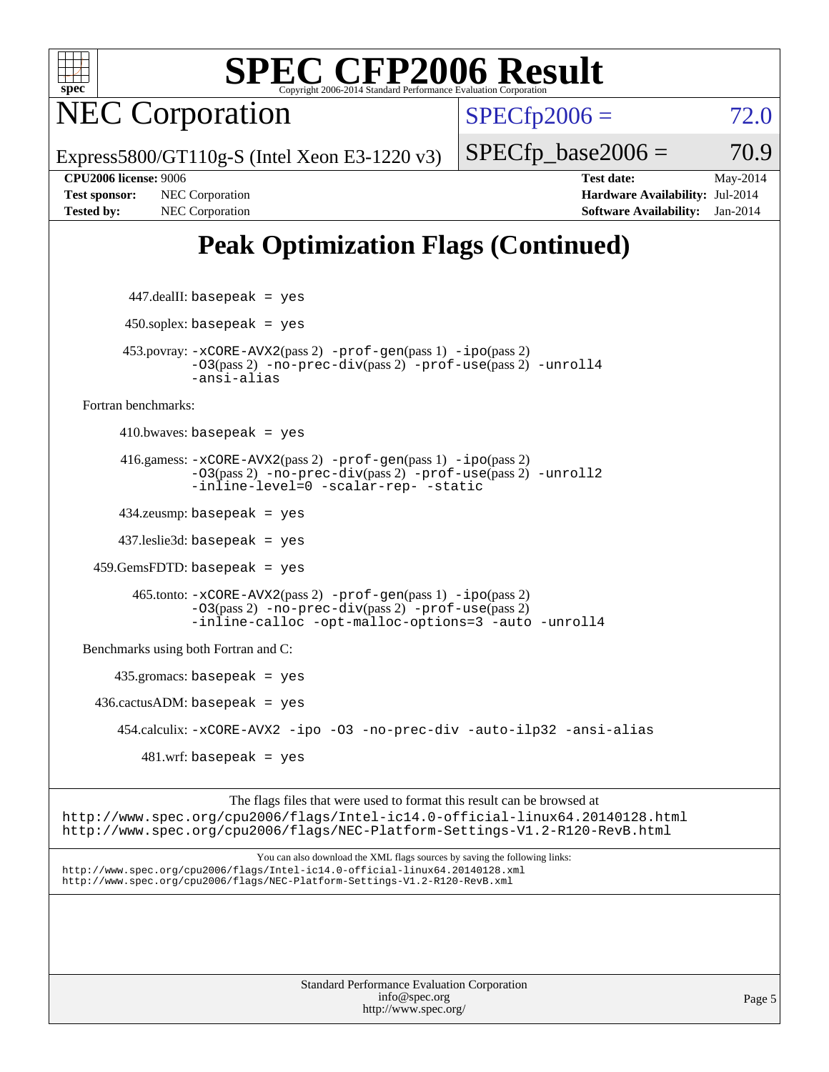

NEC Corporation

 $SPECTp2006 = 72.0$ 

Express5800/GT110g-S (Intel Xeon E3-1220 v3)

**[Tested by:](http://www.spec.org/auto/cpu2006/Docs/result-fields.html#Testedby)** NEC Corporation **[Software Availability:](http://www.spec.org/auto/cpu2006/Docs/result-fields.html#SoftwareAvailability)** Jan-2014

**[CPU2006 license:](http://www.spec.org/auto/cpu2006/Docs/result-fields.html#CPU2006license)** 9006 **[Test date:](http://www.spec.org/auto/cpu2006/Docs/result-fields.html#Testdate)** May-2014 **[Test sponsor:](http://www.spec.org/auto/cpu2006/Docs/result-fields.html#Testsponsor)** NEC Corporation **[Hardware Availability:](http://www.spec.org/auto/cpu2006/Docs/result-fields.html#HardwareAvailability)** Jul-2014

 $SPECTp\_base2006 = 70.9$ 

## **[Peak Optimization Flags \(Continued\)](http://www.spec.org/auto/cpu2006/Docs/result-fields.html#PeakOptimizationFlags)**

 447.dealII: basepeak = yes  $450$ .soplex: basepeak = yes 453.povray: [-xCORE-AVX2](http://www.spec.org/cpu2006/results/res2014q3/cpu2006-20140806-30780.flags.html#user_peakPASS2_CXXFLAGSPASS2_LDFLAGS453_povray_f-xAVX2_5f5fc0cbe2c9f62c816d3e45806c70d7)(pass 2) [-prof-gen](http://www.spec.org/cpu2006/results/res2014q3/cpu2006-20140806-30780.flags.html#user_peakPASS1_CXXFLAGSPASS1_LDFLAGS453_povray_prof_gen_e43856698f6ca7b7e442dfd80e94a8fc)(pass 1) [-ipo](http://www.spec.org/cpu2006/results/res2014q3/cpu2006-20140806-30780.flags.html#user_peakPASS2_CXXFLAGSPASS2_LDFLAGS453_povray_f-ipo)(pass 2) [-O3](http://www.spec.org/cpu2006/results/res2014q3/cpu2006-20140806-30780.flags.html#user_peakPASS2_CXXFLAGSPASS2_LDFLAGS453_povray_f-O3)(pass 2) [-no-prec-div](http://www.spec.org/cpu2006/results/res2014q3/cpu2006-20140806-30780.flags.html#user_peakPASS2_CXXFLAGSPASS2_LDFLAGS453_povray_f-no-prec-div)(pass 2) [-prof-use](http://www.spec.org/cpu2006/results/res2014q3/cpu2006-20140806-30780.flags.html#user_peakPASS2_CXXFLAGSPASS2_LDFLAGS453_povray_prof_use_bccf7792157ff70d64e32fe3e1250b55)(pass 2) [-unroll4](http://www.spec.org/cpu2006/results/res2014q3/cpu2006-20140806-30780.flags.html#user_peakCXXOPTIMIZE453_povray_f-unroll_4e5e4ed65b7fd20bdcd365bec371b81f) [-ansi-alias](http://www.spec.org/cpu2006/results/res2014q3/cpu2006-20140806-30780.flags.html#user_peakCXXOPTIMIZE453_povray_f-ansi-alias) [Fortran benchmarks](http://www.spec.org/auto/cpu2006/Docs/result-fields.html#Fortranbenchmarks):  $410.bwaves: basepeak = yes$  416.gamess: [-xCORE-AVX2](http://www.spec.org/cpu2006/results/res2014q3/cpu2006-20140806-30780.flags.html#user_peakPASS2_FFLAGSPASS2_LDFLAGS416_gamess_f-xAVX2_5f5fc0cbe2c9f62c816d3e45806c70d7)(pass 2) [-prof-gen](http://www.spec.org/cpu2006/results/res2014q3/cpu2006-20140806-30780.flags.html#user_peakPASS1_FFLAGSPASS1_LDFLAGS416_gamess_prof_gen_e43856698f6ca7b7e442dfd80e94a8fc)(pass 1) [-ipo](http://www.spec.org/cpu2006/results/res2014q3/cpu2006-20140806-30780.flags.html#user_peakPASS2_FFLAGSPASS2_LDFLAGS416_gamess_f-ipo)(pass 2) [-O3](http://www.spec.org/cpu2006/results/res2014q3/cpu2006-20140806-30780.flags.html#user_peakPASS2_FFLAGSPASS2_LDFLAGS416_gamess_f-O3)(pass 2) [-no-prec-div](http://www.spec.org/cpu2006/results/res2014q3/cpu2006-20140806-30780.flags.html#user_peakPASS2_FFLAGSPASS2_LDFLAGS416_gamess_f-no-prec-div)(pass 2) [-prof-use](http://www.spec.org/cpu2006/results/res2014q3/cpu2006-20140806-30780.flags.html#user_peakPASS2_FFLAGSPASS2_LDFLAGS416_gamess_prof_use_bccf7792157ff70d64e32fe3e1250b55)(pass 2) [-unroll2](http://www.spec.org/cpu2006/results/res2014q3/cpu2006-20140806-30780.flags.html#user_peakOPTIMIZE416_gamess_f-unroll_784dae83bebfb236979b41d2422d7ec2) [-inline-level=0](http://www.spec.org/cpu2006/results/res2014q3/cpu2006-20140806-30780.flags.html#user_peakOPTIMIZE416_gamess_f-inline-level_318d07a09274ad25e8d15dbfaa68ba50) [-scalar-rep-](http://www.spec.org/cpu2006/results/res2014q3/cpu2006-20140806-30780.flags.html#user_peakOPTIMIZE416_gamess_f-disablescalarrep_abbcad04450fb118e4809c81d83c8a1d) [-static](http://www.spec.org/cpu2006/results/res2014q3/cpu2006-20140806-30780.flags.html#user_peakOPTIMIZE416_gamess_f-static) 434.zeusmp: basepeak = yes 437.leslie3d: basepeak = yes 459.GemsFDTD: basepeak = yes 465.tonto: [-xCORE-AVX2](http://www.spec.org/cpu2006/results/res2014q3/cpu2006-20140806-30780.flags.html#user_peakPASS2_FFLAGSPASS2_LDFLAGS465_tonto_f-xAVX2_5f5fc0cbe2c9f62c816d3e45806c70d7)(pass 2) [-prof-gen](http://www.spec.org/cpu2006/results/res2014q3/cpu2006-20140806-30780.flags.html#user_peakPASS1_FFLAGSPASS1_LDFLAGS465_tonto_prof_gen_e43856698f6ca7b7e442dfd80e94a8fc)(pass 1) [-ipo](http://www.spec.org/cpu2006/results/res2014q3/cpu2006-20140806-30780.flags.html#user_peakPASS2_FFLAGSPASS2_LDFLAGS465_tonto_f-ipo)(pass 2) [-O3](http://www.spec.org/cpu2006/results/res2014q3/cpu2006-20140806-30780.flags.html#user_peakPASS2_FFLAGSPASS2_LDFLAGS465_tonto_f-O3)(pass 2) [-no-prec-div](http://www.spec.org/cpu2006/results/res2014q3/cpu2006-20140806-30780.flags.html#user_peakPASS2_FFLAGSPASS2_LDFLAGS465_tonto_f-no-prec-div)(pass 2) [-prof-use](http://www.spec.org/cpu2006/results/res2014q3/cpu2006-20140806-30780.flags.html#user_peakPASS2_FFLAGSPASS2_LDFLAGS465_tonto_prof_use_bccf7792157ff70d64e32fe3e1250b55)(pass 2) [-inline-calloc](http://www.spec.org/cpu2006/results/res2014q3/cpu2006-20140806-30780.flags.html#user_peakOPTIMIZE465_tonto_f-inline-calloc) [-opt-malloc-options=3](http://www.spec.org/cpu2006/results/res2014q3/cpu2006-20140806-30780.flags.html#user_peakOPTIMIZE465_tonto_f-opt-malloc-options_13ab9b803cf986b4ee62f0a5998c2238) [-auto](http://www.spec.org/cpu2006/results/res2014q3/cpu2006-20140806-30780.flags.html#user_peakOPTIMIZE465_tonto_f-auto) [-unroll4](http://www.spec.org/cpu2006/results/res2014q3/cpu2006-20140806-30780.flags.html#user_peakOPTIMIZE465_tonto_f-unroll_4e5e4ed65b7fd20bdcd365bec371b81f) [Benchmarks using both Fortran and C](http://www.spec.org/auto/cpu2006/Docs/result-fields.html#BenchmarksusingbothFortranandC): 435.gromacs: basepeak = yes  $436.cactusADM: basepeak = yes$  454.calculix: [-xCORE-AVX2](http://www.spec.org/cpu2006/results/res2014q3/cpu2006-20140806-30780.flags.html#user_peakOPTIMIZE454_calculix_f-xAVX2_5f5fc0cbe2c9f62c816d3e45806c70d7) [-ipo](http://www.spec.org/cpu2006/results/res2014q3/cpu2006-20140806-30780.flags.html#user_peakOPTIMIZE454_calculix_f-ipo) [-O3](http://www.spec.org/cpu2006/results/res2014q3/cpu2006-20140806-30780.flags.html#user_peakOPTIMIZE454_calculix_f-O3) [-no-prec-div](http://www.spec.org/cpu2006/results/res2014q3/cpu2006-20140806-30780.flags.html#user_peakOPTIMIZE454_calculix_f-no-prec-div) [-auto-ilp32](http://www.spec.org/cpu2006/results/res2014q3/cpu2006-20140806-30780.flags.html#user_peakCOPTIMIZE454_calculix_f-auto-ilp32) [-ansi-alias](http://www.spec.org/cpu2006/results/res2014q3/cpu2006-20140806-30780.flags.html#user_peakCOPTIMIZE454_calculix_f-ansi-alias)  $481 \text{.m}$ : basepeak = yes

The flags files that were used to format this result can be browsed at <http://www.spec.org/cpu2006/flags/Intel-ic14.0-official-linux64.20140128.html> <http://www.spec.org/cpu2006/flags/NEC-Platform-Settings-V1.2-R120-RevB.html>

You can also download the XML flags sources by saving the following links: <http://www.spec.org/cpu2006/flags/Intel-ic14.0-official-linux64.20140128.xml> <http://www.spec.org/cpu2006/flags/NEC-Platform-Settings-V1.2-R120-RevB.xml>

> Standard Performance Evaluation Corporation [info@spec.org](mailto:info@spec.org) <http://www.spec.org/>